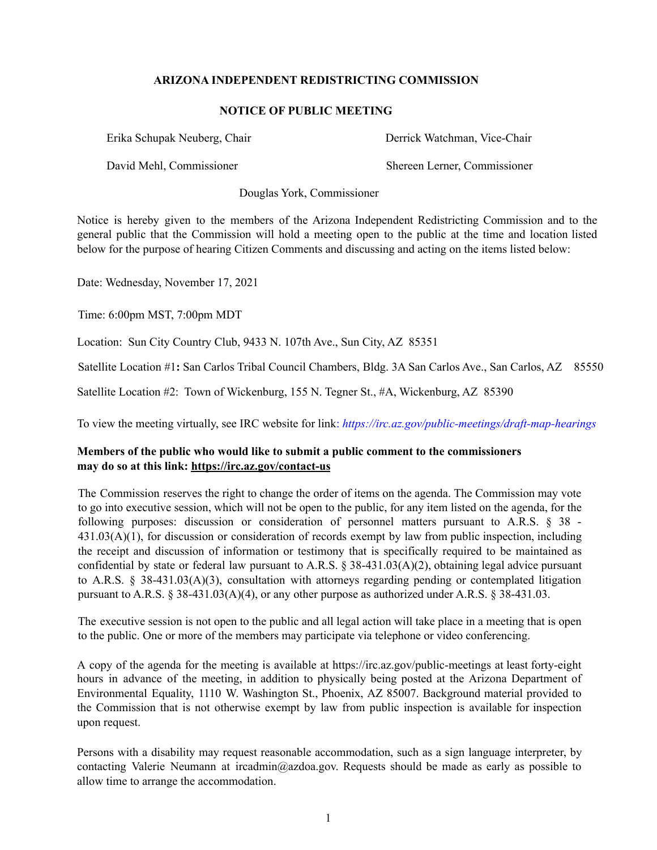## **ARIZONA INDEPENDENT REDISTRICTING COMMISSION**

## **NOTICE OF PUBLIC MEETING**

Erika Schupak Neuberg, Chair Derrick Watchman, Vice-Chair

David Mehl, Commissioner Shereen Lerner, Commissioner

Douglas York, Commissioner

Notice is hereby given to the members of the Arizona Independent Redistricting Commission and to the general public that the Commission will hold a meeting open to the public at the time and location listed below for the purpose of hearing Citizen Comments and discussing and acting on the items listed below:

Date: Wednesday, November 17, 2021

Time: 6:00pm MST, 7:00pm MDT

Location: Sun City Country Club, 9433 N. 107th Ave., Sun City, AZ 85351

Satellite Location #1**:** San Carlos Tribal Council Chambers, Bldg. 3A San Carlos Ave., San Carlos, AZ 85550

Satellite Location #2: Town of Wickenburg, 155 N. Tegner St., #A, Wickenburg, AZ 85390

To view the meeting virtually, see IRC website for link: *https://irc.az.gov/public-meetings/draft-map-hearings*

## **Members of the public who would like to submit a public comment to the commissioners may do so at this link: https://irc.az.gov/contact-us**

The Commission reserves the right to change the order of items on the agenda. The Commission may vote to go into executive session, which will not be open to the public, for any item listed on the agenda, for the following purposes: discussion or consideration of personnel matters pursuant to A.R.S. § 38 - 431.03(A)(1), for discussion or consideration of records exempt by law from public inspection, including the receipt and discussion of information or testimony that is specifically required to be maintained as confidential by state or federal law pursuant to A.R.S. § 38-431.03(A)(2), obtaining legal advice pursuant to A.R.S. § 38-431.03(A)(3), consultation with attorneys regarding pending or contemplated litigation pursuant to A.R.S. § 38-431.03(A)(4), or any other purpose as authorized under A.R.S. § 38-431.03.

The executive session is not open to the public and all legal action will take place in a meeting that is open to the public. One or more of the members may participate via telephone or video conferencing.

A copy of the agenda for the meeting is available at https://irc.az.gov/public-meetings at least forty-eight hours in advance of the meeting, in addition to physically being posted at the Arizona Department of Environmental Equality, 1110 W. Washington St., Phoenix, AZ 85007. Background material provided to the Commission that is not otherwise exempt by law from public inspection is available for inspection upon request.

Persons with a disability may request reasonable accommodation, such as a sign language interpreter, by contacting Valerie Neumann at ircadmin@azdoa.gov. Requests should be made as early as possible to allow time to arrange the accommodation.